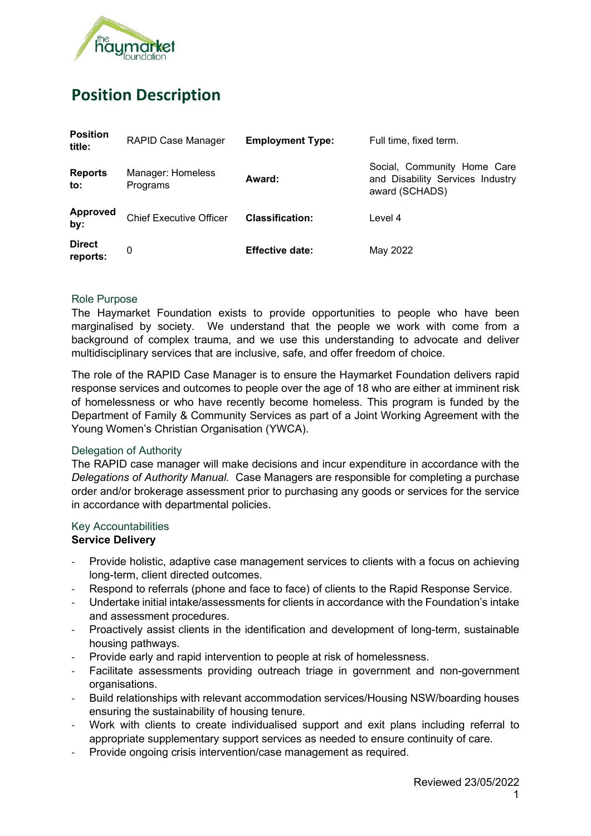

# **Position Description**

| <b>Position</b><br>title: | <b>RAPID Case Manager</b>      | <b>Employment Type:</b> | Full time, fixed term.                                                            |
|---------------------------|--------------------------------|-------------------------|-----------------------------------------------------------------------------------|
| <b>Reports</b><br>to:     | Manager: Homeless<br>Programs  | Award:                  | Social, Community Home Care<br>and Disability Services Industry<br>award (SCHADS) |
| <b>Approved</b><br>by:    | <b>Chief Executive Officer</b> | <b>Classification:</b>  | Level 4                                                                           |
| <b>Direct</b><br>reports: | 0                              | <b>Effective date:</b>  | May 2022                                                                          |

#### Role Purpose

The Haymarket Foundation exists to provide opportunities to people who have been marginalised by society. We understand that the people we work with come from a background of complex trauma, and we use this understanding to advocate and deliver multidisciplinary services that are inclusive, safe, and offer freedom of choice.

The role of the RAPID Case Manager is to ensure the Haymarket Foundation delivers rapid response services and outcomes to people over the age of 18 who are either at imminent risk of homelessness or who have recently become homeless. This program is funded by the Department of Family & Community Services as part of a Joint Working Agreement with the Young Women's Christian Organisation (YWCA).

#### Delegation of Authority

The RAPID case manager will make decisions and incur expenditure in accordance with the *Delegations of Authority Manual.* Case Managers are responsible for completing a purchase order and/or brokerage assessment prior to purchasing any goods or services for the service in accordance with departmental policies.

#### Key Accountabilities

#### **Service Delivery**

- Provide holistic, adaptive case management services to clients with a focus on achieving long-term, client directed outcomes.
- Respond to referrals (phone and face to face) of clients to the Rapid Response Service.
- Undertake initial intake/assessments for clients in accordance with the Foundation's intake and assessment procedures.
- Proactively assist clients in the identification and development of long-term, sustainable housing pathways.
- Provide early and rapid intervention to people at risk of homelessness.
- Facilitate assessments providing outreach triage in government and non-government organisations.
- Build relationships with relevant accommodation services/Housing NSW/boarding houses ensuring the sustainability of housing tenure.
- Work with clients to create individualised support and exit plans including referral to appropriate supplementary support services as needed to ensure continuity of care.
- Provide ongoing crisis intervention/case management as required.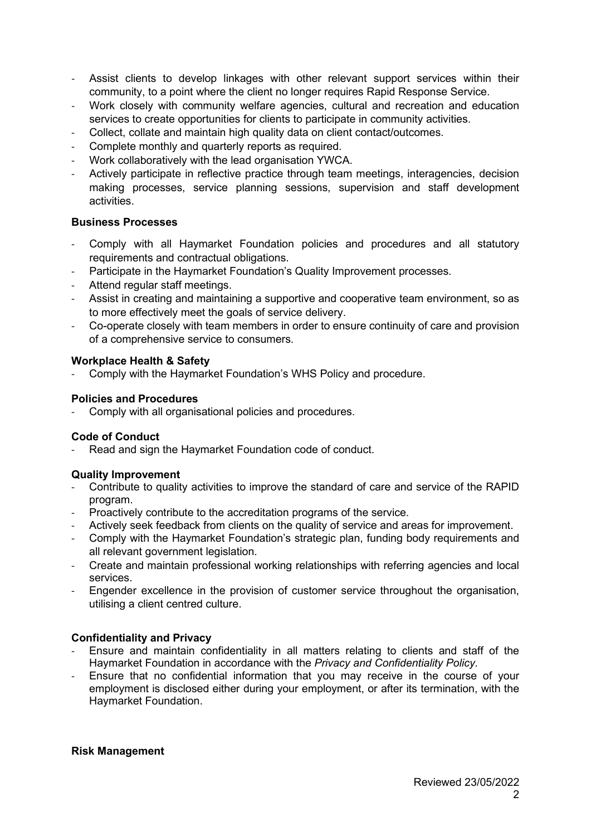- Assist clients to develop linkages with other relevant support services within their community, to a point where the client no longer requires Rapid Response Service.
- Work closely with community welfare agencies, cultural and recreation and education services to create opportunities for clients to participate in community activities.
- Collect, collate and maintain high quality data on client contact/outcomes.
- Complete monthly and quarterly reports as required.
- Work collaboratively with the lead organisation YWCA.
- Actively participate in reflective practice through team meetings, interagencies, decision making processes, service planning sessions, supervision and staff development activities.

## **Business Processes**

- Comply with all Haymarket Foundation policies and procedures and all statutory requirements and contractual obligations.
- Participate in the Haymarket Foundation's Quality Improvement processes.
- Attend regular staff meetings.
- Assist in creating and maintaining a supportive and cooperative team environment, so as to more effectively meet the goals of service delivery.
- Co-operate closely with team members in order to ensure continuity of care and provision of a comprehensive service to consumers.

## **Workplace Health & Safety**

- Comply with the Haymarket Foundation's WHS Policy and procedure.

#### **Policies and Procedures**

Comply with all organisational policies and procedures.

#### **Code of Conduct**

Read and sign the Haymarket Foundation code of conduct.

#### **Quality Improvement**

- Contribute to quality activities to improve the standard of care and service of the RAPID program.
- Proactively contribute to the accreditation programs of the service.
- Actively seek feedback from clients on the quality of service and areas for improvement.
- Comply with the Haymarket Foundation's strategic plan, funding body requirements and all relevant government legislation.
- Create and maintain professional working relationships with referring agencies and local services.
- Engender excellence in the provision of customer service throughout the organisation, utilising a client centred culture.

# **Confidentiality and Privacy**

- Ensure and maintain confidentiality in all matters relating to clients and staff of the Haymarket Foundation in accordance with the *Privacy and Confidentiality Policy.*
- Ensure that no confidential information that you may receive in the course of your employment is disclosed either during your employment, or after its termination, with the Haymarket Foundation.

#### **Risk Management**